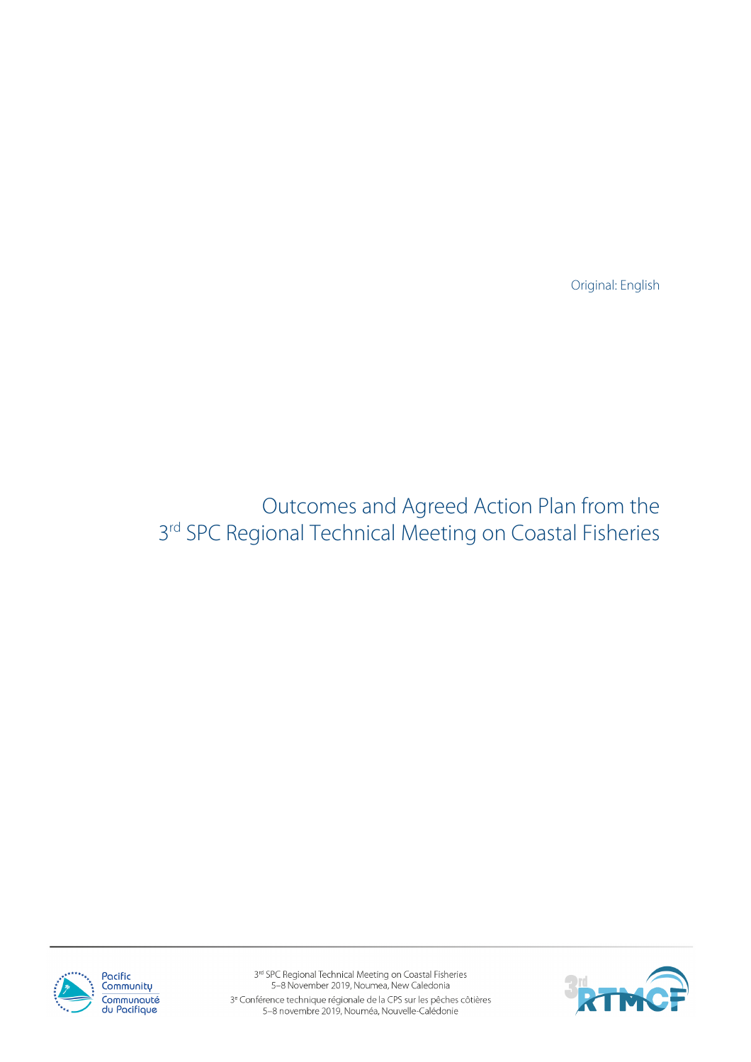Original: English

Outcomes and Agreed Action Plan from the 3<sup>rd</sup> SPC Regional Technical Meeting on Coastal Fisheries



3rd SPC Regional Technical Meeting on Coastal Fisheries 5-8 November 2019, Noumea, New Caledonia 3<sup>e</sup> Conférence technique régionale de la CPS sur les pêches côtières<br>5-8 novembre 2019, Nouméa, Nouvelle-Calédonie

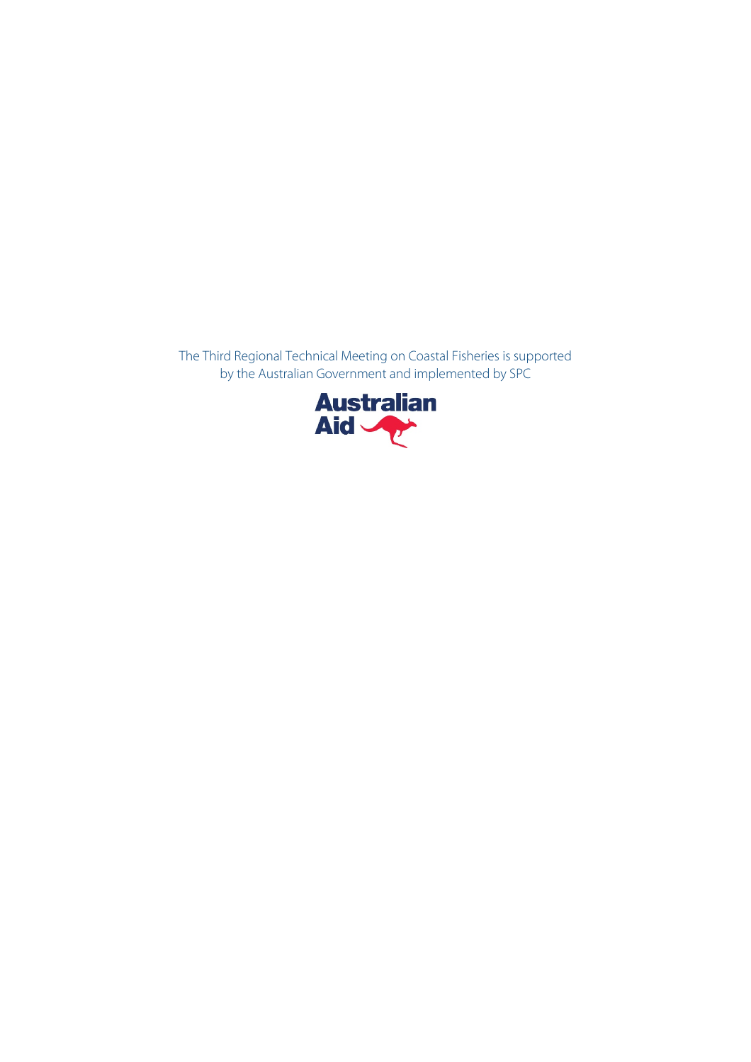The Third Regional Technical Meeting on Coastal Fisheries is supported by the Australian Government and implemented by SPC

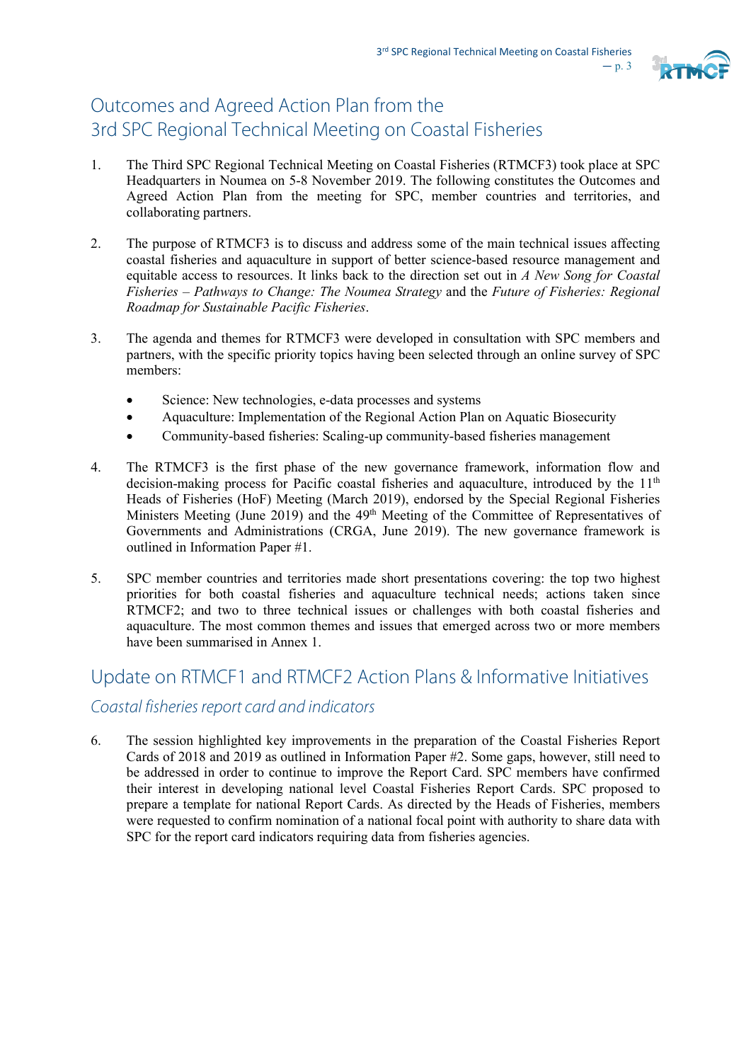

## Outcomes and Agreed Action Plan from the 3rd SPC Regional Technical Meeting on Coastal Fisheries

- 1. The Third SPC Regional Technical Meeting on Coastal Fisheries (RTMCF3) took place at SPC Headquarters in Noumea on 5-8 November 2019. The following constitutes the Outcomes and Agreed Action Plan from the meeting for SPC, member countries and territories, and collaborating partners.
- 2. The purpose of RTMCF3 is to discuss and address some of the main technical issues affecting coastal fisheries and aquaculture in support of better science-based resource management and equitable access to resources. It links back to the direction set out in *A New Song for Coastal Fisheries – Pathways to Change: The Noumea Strategy* and the *Future of Fisheries: Regional Roadmap for Sustainable Pacific Fisheries*.
- 3. The agenda and themes for RTMCF3 were developed in consultation with SPC members and partners, with the specific priority topics having been selected through an online survey of SPC members:
	- Science: New technologies, e-data processes and systems
	- Aquaculture: Implementation of the Regional Action Plan on Aquatic Biosecurity
	- Community-based fisheries: Scaling-up community-based fisheries management
- 4. The RTMCF3 is the first phase of the new governance framework, information flow and decision-making process for Pacific coastal fisheries and aquaculture, introduced by the 11<sup>th</sup> Heads of Fisheries (HoF) Meeting (March 2019), endorsed by the Special Regional Fisheries Ministers Meeting (June 2019) and the 49<sup>th</sup> Meeting of the Committee of Representatives of Governments and Administrations (CRGA, June 2019). The new governance framework is outlined in Information Paper #1.
- 5. SPC member countries and territories made short presentations covering: the top two highest priorities for both coastal fisheries and aquaculture technical needs; actions taken since RTMCF2; and two to three technical issues or challenges with both coastal fisheries and aquaculture. The most common themes and issues that emerged across two or more members have been summarised in Annex 1.

# Update on RTMCF1 and RTMCF2 Action Plans & Informative Initiatives *Coastal fisheries report card and indicators*

6. The session highlighted key improvements in the preparation of the Coastal Fisheries Report Cards of 2018 and 2019 as outlined in Information Paper #2. Some gaps, however, still need to be addressed in order to continue to improve the Report Card. SPC members have confirmed their interest in developing national level Coastal Fisheries Report Cards. SPC proposed to prepare a template for national Report Cards. As directed by the Heads of Fisheries, members were requested to confirm nomination of a national focal point with authority to share data with SPC for the report card indicators requiring data from fisheries agencies.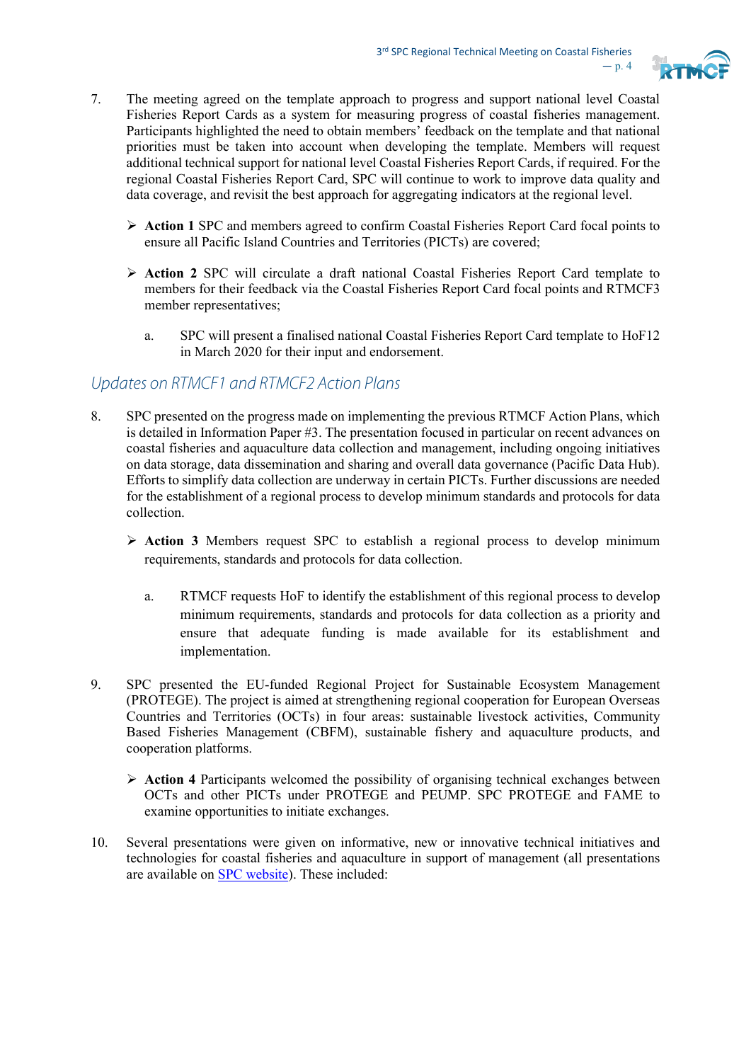

- 7. The meeting agreed on the template approach to progress and support national level Coastal Fisheries Report Cards as a system for measuring progress of coastal fisheries management. Participants highlighted the need to obtain members' feedback on the template and that national priorities must be taken into account when developing the template. Members will request additional technical support for national level Coastal Fisheries Report Cards, if required. For the regional Coastal Fisheries Report Card, SPC will continue to work to improve data quality and data coverage, and revisit the best approach for aggregating indicators at the regional level.
	- **Action 1** SPC and members agreed to confirm Coastal Fisheries Report Card focal points to ensure all Pacific Island Countries and Territories (PICTs) are covered;
	- **Action 2** SPC will circulate a draft national Coastal Fisheries Report Card template to members for their feedback via the Coastal Fisheries Report Card focal points and RTMCF3 member representatives;
		- a. SPC will present a finalised national Coastal Fisheries Report Card template to HoF12 in March 2020 for their input and endorsement.

#### *Updates on RTMCF1 and RTMCF2 Action Plans*

- 8. SPC presented on the progress made on implementing the previous RTMCF Action Plans, which is detailed in Information Paper #3. The presentation focused in particular on recent advances on coastal fisheries and aquaculture data collection and management, including ongoing initiatives on data storage, data dissemination and sharing and overall data governance (Pacific Data Hub). Efforts to simplify data collection are underway in certain PICTs. Further discussions are needed for the establishment of a regional process to develop minimum standards and protocols for data collection.
	- **Action 3** Members request SPC to establish a regional process to develop minimum requirements, standards and protocols for data collection.
		- a. RTMCF requests HoF to identify the establishment of this regional process to develop minimum requirements, standards and protocols for data collection as a priority and ensure that adequate funding is made available for its establishment and implementation.
- 9. SPC presented the EU-funded Regional Project for Sustainable Ecosystem Management (PROTEGE). The project is aimed at strengthening regional cooperation for European Overseas Countries and Territories (OCTs) in four areas: sustainable livestock activities, Community Based Fisheries Management (CBFM), sustainable fishery and aquaculture products, and cooperation platforms.
	- **Action 4** Participants welcomed the possibility of organising technical exchanges between OCTs and other PICTs under PROTEGE and PEUMP. SPC PROTEGE and FAME to examine opportunities to initiate exchanges.
- 10. Several presentations were given on informative, new or innovative technical initiatives and technologies for coastal fisheries and aquaculture in support of management (all presentations are available o[n SPC website\)](https://fame1.spc.int/en/meetings/248). These included: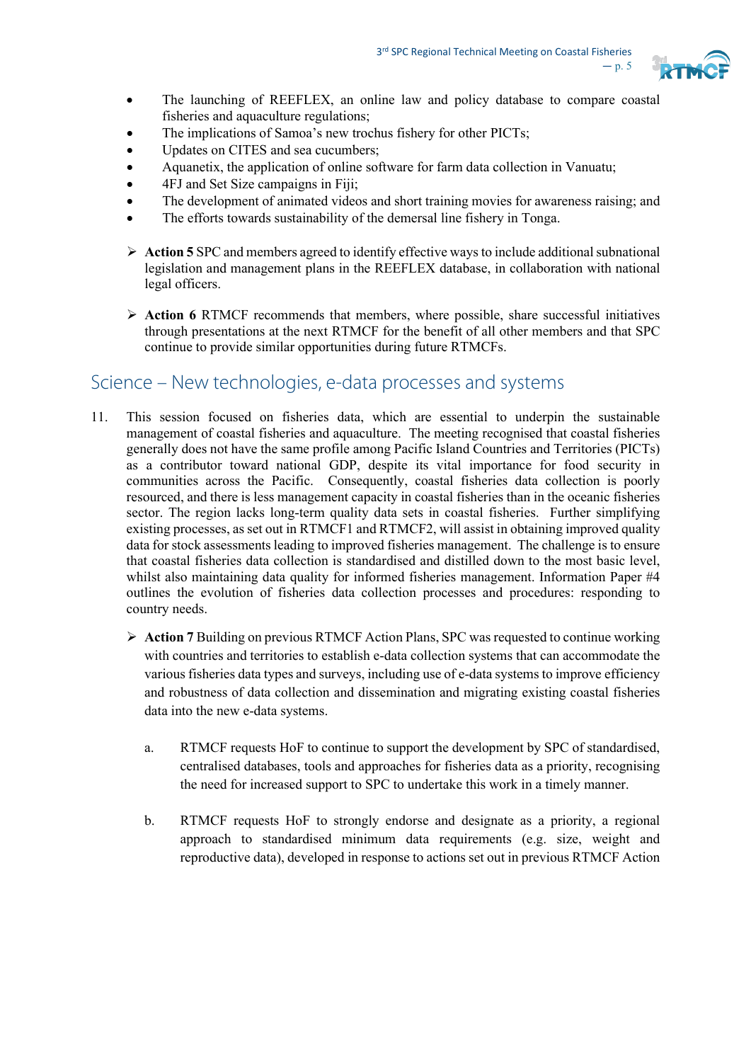

- The launching of REEFLEX, an online law and policy database to compare coastal fisheries and aquaculture regulations;
- The implications of Samoa's new trochus fishery for other PICTs;
- Updates on CITES and sea cucumbers:
- Aquanetix, the application of online software for farm data collection in Vanuatu;
- 4FJ and Set Size campaigns in Fiji;
- The development of animated videos and short training movies for awareness raising; and
- The efforts towards sustainability of the demersal line fishery in Tonga.
- **Action 5** SPC and members agreed to identify effective ways to include additional subnational legislation and management plans in the REEFLEX database, in collaboration with national legal officers.
- **EXECUTE:** Action 6 RTMCF recommends that members, where possible, share successful initiatives through presentations at the next RTMCF for the benefit of all other members and that SPC continue to provide similar opportunities during future RTMCFs.

### Science – New technologies, e-data processes and systems

- 11. This session focused on fisheries data, which are essential to underpin the sustainable management of coastal fisheries and aquaculture. The meeting recognised that coastal fisheries generally does not have the same profile among Pacific Island Countries and Territories (PICTs) as a contributor toward national GDP, despite its vital importance for food security in communities across the Pacific. Consequently, coastal fisheries data collection is poorly resourced, and there is less management capacity in coastal fisheries than in the oceanic fisheries sector. The region lacks long-term quality data sets in coastal fisheries. Further simplifying existing processes, as set out in RTMCF1 and RTMCF2, will assist in obtaining improved quality data for stock assessments leading to improved fisheries management. The challenge is to ensure that coastal fisheries data collection is standardised and distilled down to the most basic level, whilst also maintaining data quality for informed fisheries management. Information Paper #4 outlines the evolution of fisheries data collection processes and procedures: responding to country needs.
	- **Action 7** Building on previous RTMCF Action Plans, SPC was requested to continue working with countries and territories to establish e-data collection systems that can accommodate the various fisheries data types and surveys, including use of e-data systems to improve efficiency and robustness of data collection and dissemination and migrating existing coastal fisheries data into the new e-data systems.
		- a. RTMCF requests HoF to continue to support the development by SPC of standardised, centralised databases, tools and approaches for fisheries data as a priority, recognising the need for increased support to SPC to undertake this work in a timely manner.
		- b. RTMCF requests HoF to strongly endorse and designate as a priority, a regional approach to standardised minimum data requirements (e.g. size, weight and reproductive data), developed in response to actions set out in previous RTMCF Action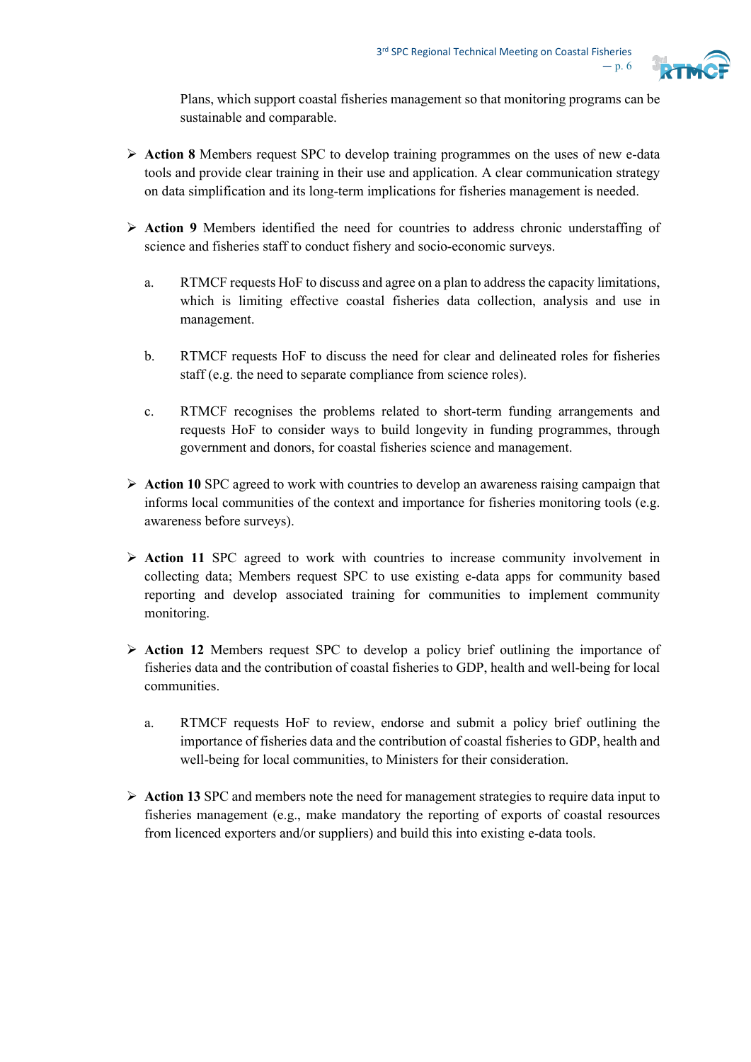

Plans, which support coastal fisheries management so that monitoring programs can be sustainable and comparable.

- **Action 8** Members request SPC to develop training programmes on the uses of new e-data tools and provide clear training in their use and application. A clear communication strategy on data simplification and its long-term implications for fisheries management is needed.
- **Action 9** Members identified the need for countries to address chronic understaffing of science and fisheries staff to conduct fishery and socio-economic surveys.
	- a. RTMCF requests HoF to discuss and agree on a plan to address the capacity limitations, which is limiting effective coastal fisheries data collection, analysis and use in management.
	- b. RTMCF requests HoF to discuss the need for clear and delineated roles for fisheries staff (e.g. the need to separate compliance from science roles).
	- c. RTMCF recognises the problems related to short-term funding arrangements and requests HoF to consider ways to build longevity in funding programmes, through government and donors, for coastal fisheries science and management.
- **EXECUTE:** Action 10 SPC agreed to work with countries to develop an awareness raising campaign that informs local communities of the context and importance for fisheries monitoring tools (e.g. awareness before surveys).
- **Action 11** SPC agreed to work with countries to increase community involvement in collecting data; Members request SPC to use existing e-data apps for community based reporting and develop associated training for communities to implement community monitoring.
- **Action 12** Members request SPC to develop a policy brief outlining the importance of fisheries data and the contribution of coastal fisheries to GDP, health and well-being for local communities.
	- a. RTMCF requests HoF to review, endorse and submit a policy brief outlining the importance of fisheries data and the contribution of coastal fisheries to GDP, health and well-being for local communities, to Ministers for their consideration.
- $\triangleright$  Action 13 SPC and members note the need for management strategies to require data input to fisheries management (e.g., make mandatory the reporting of exports of coastal resources from licenced exporters and/or suppliers) and build this into existing e-data tools.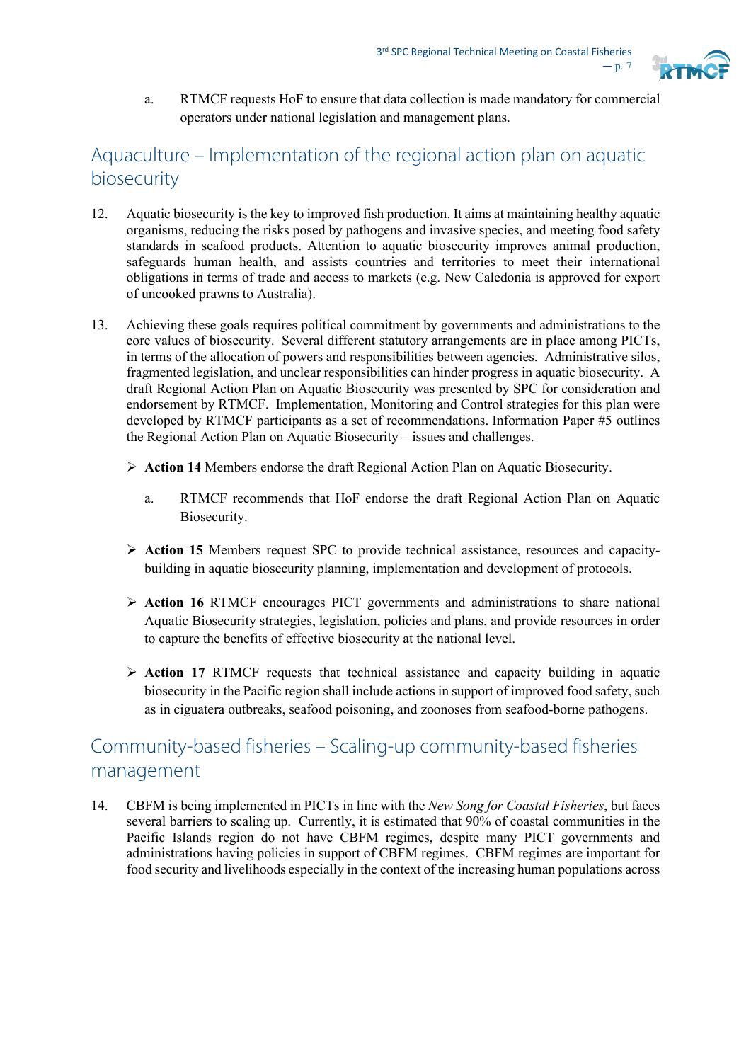

a. RTMCF requests HoF to ensure that data collection is made mandatory for commercial operators under national legislation and management plans.

## Aquaculture – Implementation of the regional action plan on aquatic biosecurity

- 12. Aquatic biosecurity is the key to improved fish production. It aims at maintaining healthy aquatic organisms, reducing the risks posed by pathogens and invasive species, and meeting food safety standards in seafood products. Attention to aquatic biosecurity improves animal production, safeguards human health, and assists countries and territories to meet their international obligations in terms of trade and access to markets (e.g. New Caledonia is approved for export of uncooked prawns to Australia).
- 13. Achieving these goals requires political commitment by governments and administrations to the core values of biosecurity. Several different statutory arrangements are in place among PICTs, in terms of the allocation of powers and responsibilities between agencies. Administrative silos, fragmented legislation, and unclear responsibilities can hinder progress in aquatic biosecurity. A draft Regional Action Plan on Aquatic Biosecurity was presented by SPC for consideration and endorsement by RTMCF. Implementation, Monitoring and Control strategies for this plan were developed by RTMCF participants as a set of recommendations. Information Paper #5 outlines the Regional Action Plan on Aquatic Biosecurity – issues and challenges.
	- **Action 14** Members endorse the draft Regional Action Plan on Aquatic Biosecurity.
		- a. RTMCF recommends that HoF endorse the draft Regional Action Plan on Aquatic Biosecurity.
	- **Action 15** Members request SPC to provide technical assistance, resources and capacitybuilding in aquatic biosecurity planning, implementation and development of protocols.
	- **Action 16** RTMCF encourages PICT governments and administrations to share national Aquatic Biosecurity strategies, legislation, policies and plans, and provide resources in order to capture the benefits of effective biosecurity at the national level.
	- **Action 17** RTMCF requests that technical assistance and capacity building in aquatic biosecurity in the Pacific region shall include actions in support of improved food safety, such as in ciguatera outbreaks, seafood poisoning, and zoonoses from seafood-borne pathogens.

## Community-based fisheries – Scaling-up community-based fisheries management

14. CBFM is being implemented in PICTs in line with the *New Song for Coastal Fisheries*, but faces several barriers to scaling up. Currently, it is estimated that 90% of coastal communities in the Pacific Islands region do not have CBFM regimes, despite many PICT governments and administrations having policies in support of CBFM regimes. CBFM regimes are important for food security and livelihoods especially in the context of the increasing human populations across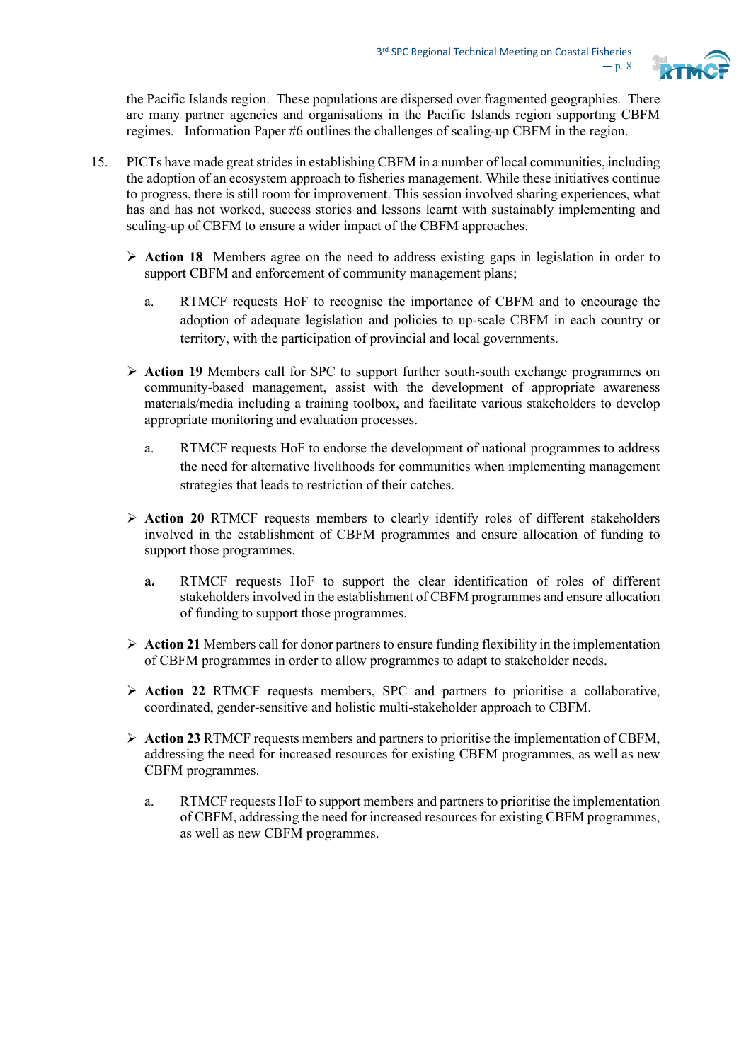

the Pacific Islands region. These populations are dispersed over fragmented geographies. There are many partner agencies and organisations in the Pacific Islands region supporting CBFM regimes. Information Paper #6 outlines the challenges of scaling-up CBFM in the region.

- 15. PICTs have made great strides in establishing CBFM in a number of local communities, including the adoption of an ecosystem approach to fisheries management. While these initiatives continue to progress, there is still room for improvement. This session involved sharing experiences, what has and has not worked, success stories and lessons learnt with sustainably implementing and scaling-up of CBFM to ensure a wider impact of the CBFM approaches.
	- **Action 18** Members agree on the need to address existing gaps in legislation in order to support CBFM and enforcement of community management plans;
		- a. RTMCF requests HoF to recognise the importance of CBFM and to encourage the adoption of adequate legislation and policies to up-scale CBFM in each country or territory, with the participation of provincial and local governments.
	- **Action 19** Members call for SPC to support further south-south exchange programmes on community-based management, assist with the development of appropriate awareness materials/media including a training toolbox, and facilitate various stakeholders to develop appropriate monitoring and evaluation processes.
		- a. RTMCF requests HoF to endorse the development of national programmes to address the need for alternative livelihoods for communities when implementing management strategies that leads to restriction of their catches.
	- **Action 20** RTMCF requests members to clearly identify roles of different stakeholders involved in the establishment of CBFM programmes and ensure allocation of funding to support those programmes.
		- **a.** RTMCF requests HoF to support the clear identification of roles of different stakeholders involved in the establishment of CBFM programmes and ensure allocation of funding to support those programmes.
	- $\triangleright$  **Action 21** Members call for donor partners to ensure funding flexibility in the implementation of CBFM programmes in order to allow programmes to adapt to stakeholder needs.
	- **Action 22** RTMCF requests members, SPC and partners to prioritise a collaborative, coordinated, gender-sensitive and holistic multi-stakeholder approach to CBFM.
	- **Action 23** RTMCF requests members and partners to prioritise the implementation of CBFM, addressing the need for increased resources for existing CBFM programmes, as well as new CBFM programmes.
		- a. RTMCF requests HoF to support members and partnersto prioritise the implementation of CBFM, addressing the need for increased resources for existing CBFM programmes, as well as new CBFM programmes.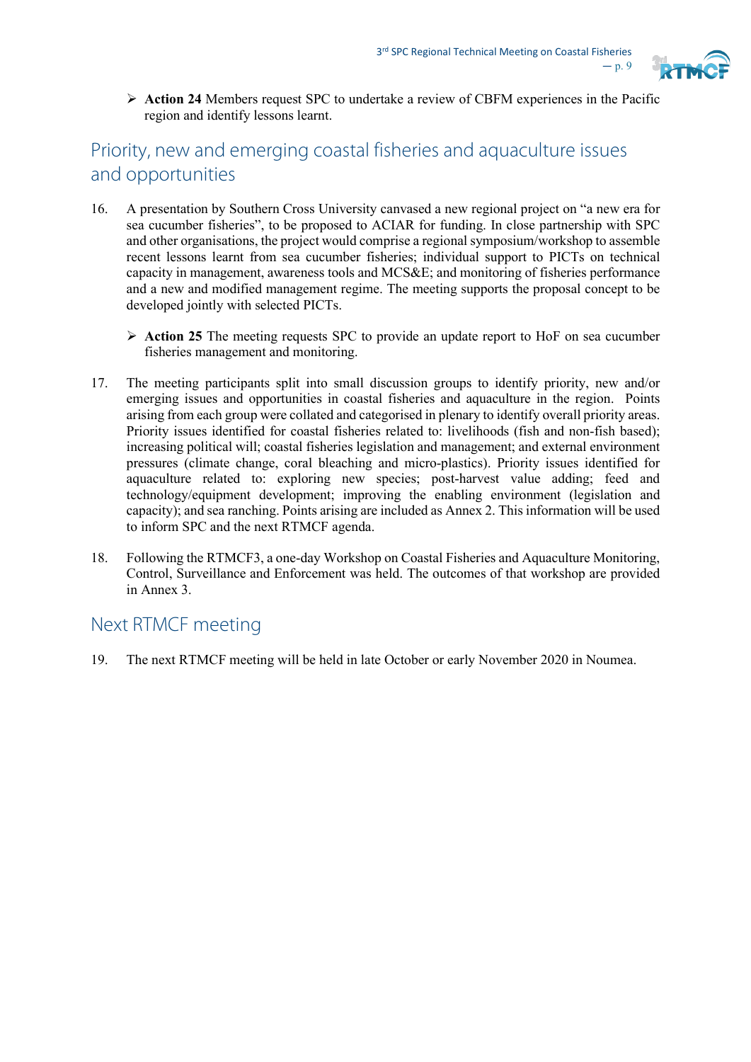

 **Action 24** Members request SPC to undertake a review of CBFM experiences in the Pacific region and identify lessons learnt.

## Priority, new and emerging coastal fisheries and aquaculture issues and opportunities

- 16. A presentation by Southern Cross University canvased a new regional project on "a new era for sea cucumber fisheries", to be proposed to ACIAR for funding. In close partnership with SPC and other organisations, the project would comprise a regional symposium/workshop to assemble recent lessons learnt from sea cucumber fisheries; individual support to PICTs on technical capacity in management, awareness tools and MCS&E; and monitoring of fisheries performance and a new and modified management regime. The meeting supports the proposal concept to be developed jointly with selected PICTs.
	- **Action 25** The meeting requests SPC to provide an update report to HoF on sea cucumber fisheries management and monitoring.
- 17. The meeting participants split into small discussion groups to identify priority, new and/or emerging issues and opportunities in coastal fisheries and aquaculture in the region. Points arising from each group were collated and categorised in plenary to identify overall priority areas. Priority issues identified for coastal fisheries related to: livelihoods (fish and non-fish based); increasing political will; coastal fisheries legislation and management; and external environment pressures (climate change, coral bleaching and micro-plastics). Priority issues identified for aquaculture related to: exploring new species; post-harvest value adding; feed and technology/equipment development; improving the enabling environment (legislation and capacity); and sea ranching. Points arising are included as Annex 2. This information will be used to inform SPC and the next RTMCF agenda.
- 18. Following the RTMCF3, a one-day Workshop on Coastal Fisheries and Aquaculture Monitoring, Control, Surveillance and Enforcement was held. The outcomes of that workshop are provided in Annex 3.

### Next RTMCF meeting

19. The next RTMCF meeting will be held in late October or early November 2020 in Noumea.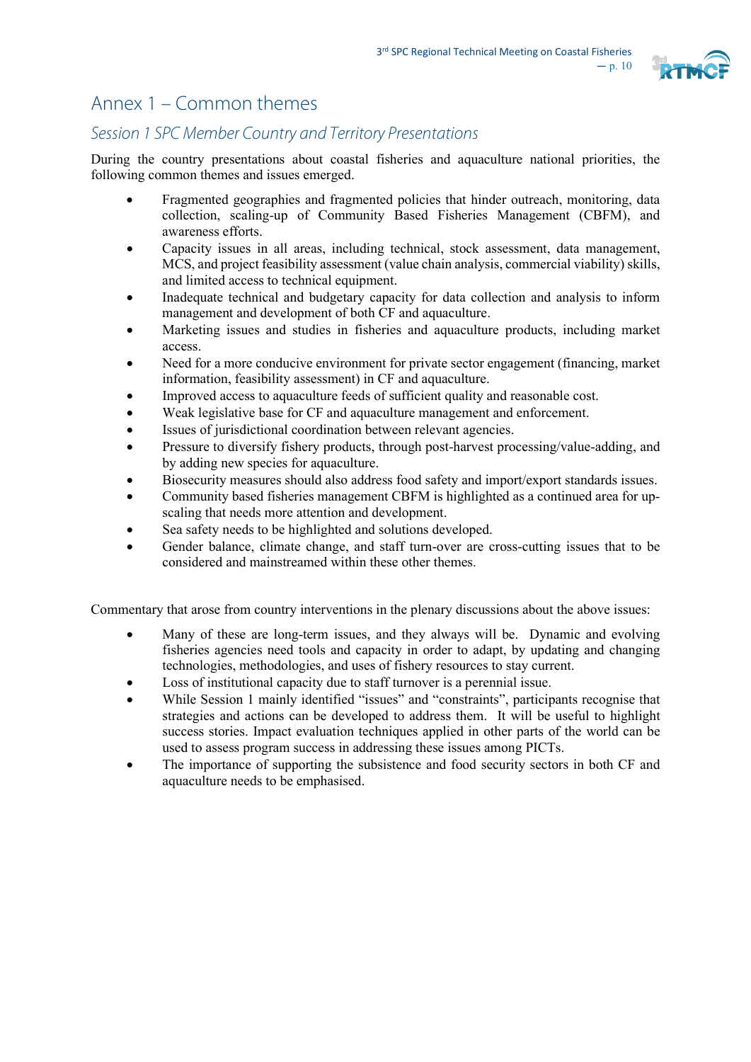

## Annex 1 – Common themes

## *Session 1 SPC Member Country and Territory Presentations*

During the country presentations about coastal fisheries and aquaculture national priorities, the following common themes and issues emerged.

- Fragmented geographies and fragmented policies that hinder outreach, monitoring, data collection, scaling-up of Community Based Fisheries Management (CBFM), and awareness efforts.
- Capacity issues in all areas, including technical, stock assessment, data management, MCS, and project feasibility assessment (value chain analysis, commercial viability) skills, and limited access to technical equipment.
- Inadequate technical and budgetary capacity for data collection and analysis to inform management and development of both CF and aquaculture.
- Marketing issues and studies in fisheries and aquaculture products, including market access.
- Need for a more conducive environment for private sector engagement (financing, market information, feasibility assessment) in CF and aquaculture.
- Improved access to aquaculture feeds of sufficient quality and reasonable cost.
- Weak legislative base for CF and aquaculture management and enforcement.
- Issues of jurisdictional coordination between relevant agencies.
- Pressure to diversify fishery products, through post-harvest processing/value-adding, and by adding new species for aquaculture.
- Biosecurity measures should also address food safety and import/export standards issues.
- Community based fisheries management CBFM is highlighted as a continued area for upscaling that needs more attention and development.
- Sea safety needs to be highlighted and solutions developed.
- Gender balance, climate change, and staff turn-over are cross-cutting issues that to be considered and mainstreamed within these other themes.

Commentary that arose from country interventions in the plenary discussions about the above issues:

- Many of these are long-term issues, and they always will be. Dynamic and evolving fisheries agencies need tools and capacity in order to adapt, by updating and changing technologies, methodologies, and uses of fishery resources to stay current.
- Loss of institutional capacity due to staff turnover is a perennial issue.
- While Session 1 mainly identified "issues" and "constraints", participants recognise that strategies and actions can be developed to address them. It will be useful to highlight success stories. Impact evaluation techniques applied in other parts of the world can be used to assess program success in addressing these issues among PICTs.
- The importance of supporting the subsistence and food security sectors in both CF and aquaculture needs to be emphasised.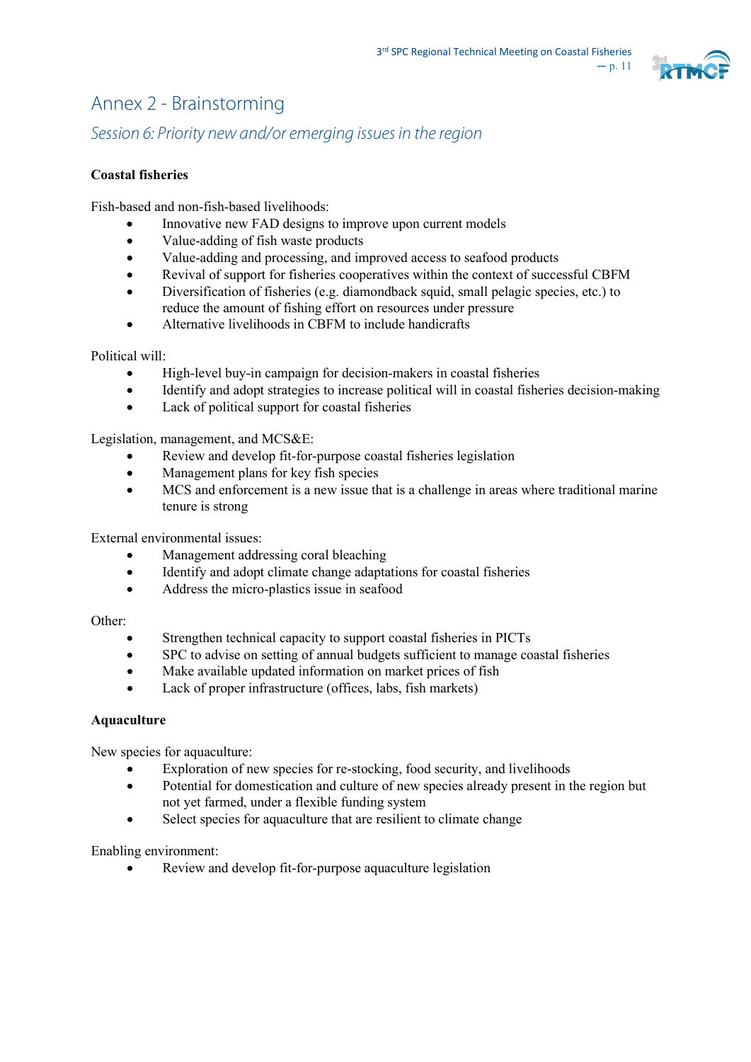

# Annex 2 - Brainstorming

*Session 6: Priority newand/or emerging issues in the region*

### **Coastal fisheries**

Fish-based and non-fish-based livelihoods:

- Innovative new FAD designs to improve upon current models
- Value-adding of fish waste products
- Value-adding and processing, and improved access to seafood products
- Revival of support for fisheries cooperatives within the context of successful CBFM
- Diversification of fisheries (e.g. diamondback squid, small pelagic species, etc.) to reduce the amount of fishing effort on resources under pressure
- Alternative livelihoods in CBFM to include handicrafts

#### Political will:

- High-level buy-in campaign for decision-makers in coastal fisheries
- Identify and adopt strategies to increase political will in coastal fisheries decision-making
- Lack of political support for coastal fisheries

Legislation, management, and MCS&E:

- Review and develop fit-for-purpose coastal fisheries legislation
- Management plans for key fish species
- MCS and enforcement is a new issue that is a challenge in areas where traditional marine tenure is strong

External environmental issues:

- Management addressing coral bleaching
- Identify and adopt climate change adaptations for coastal fisheries
- Address the micro-plastics issue in seafood

Other:

- Strengthen technical capacity to support coastal fisheries in PICTs
- SPC to advise on setting of annual budgets sufficient to manage coastal fisheries
- Make available updated information on market prices of fish
- Lack of proper infrastructure (offices, labs, fish markets)

#### **Aquaculture**

New species for aquaculture:

- Exploration of new species for re-stocking, food security, and livelihoods
- Potential for domestication and culture of new species already present in the region but not yet farmed, under a flexible funding system
- Select species for aquaculture that are resilient to climate change

Enabling environment:

Review and develop fit-for-purpose aquaculture legislation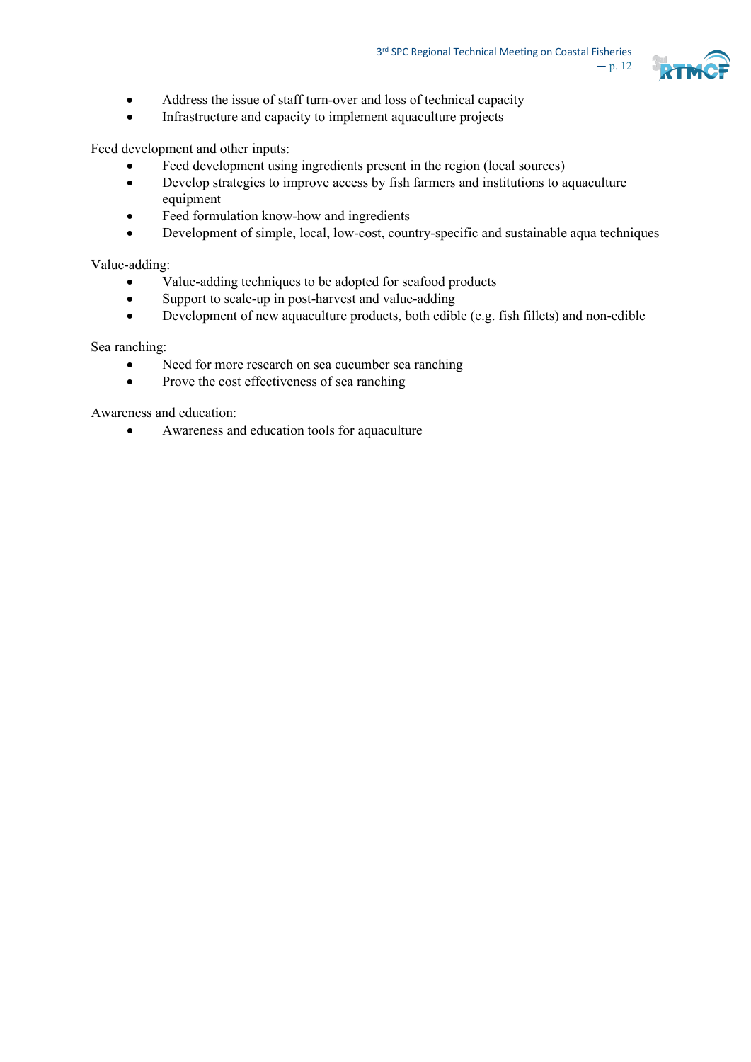

- Address the issue of staff turn-over and loss of technical capacity
- Infrastructure and capacity to implement aquaculture projects

Feed development and other inputs:

- Feed development using ingredients present in the region (local sources)
- Develop strategies to improve access by fish farmers and institutions to aquaculture equipment
- Feed formulation know-how and ingredients
- Development of simple, local, low-cost, country-specific and sustainable aqua techniques

Value-adding:

- Value-adding techniques to be adopted for seafood products
- Support to scale-up in post-harvest and value-adding
- Development of new aquaculture products, both edible (e.g. fish fillets) and non-edible

Sea ranching:

- Need for more research on sea cucumber sea ranching
- Prove the cost effectiveness of sea ranching

Awareness and education:

• Awareness and education tools for aquaculture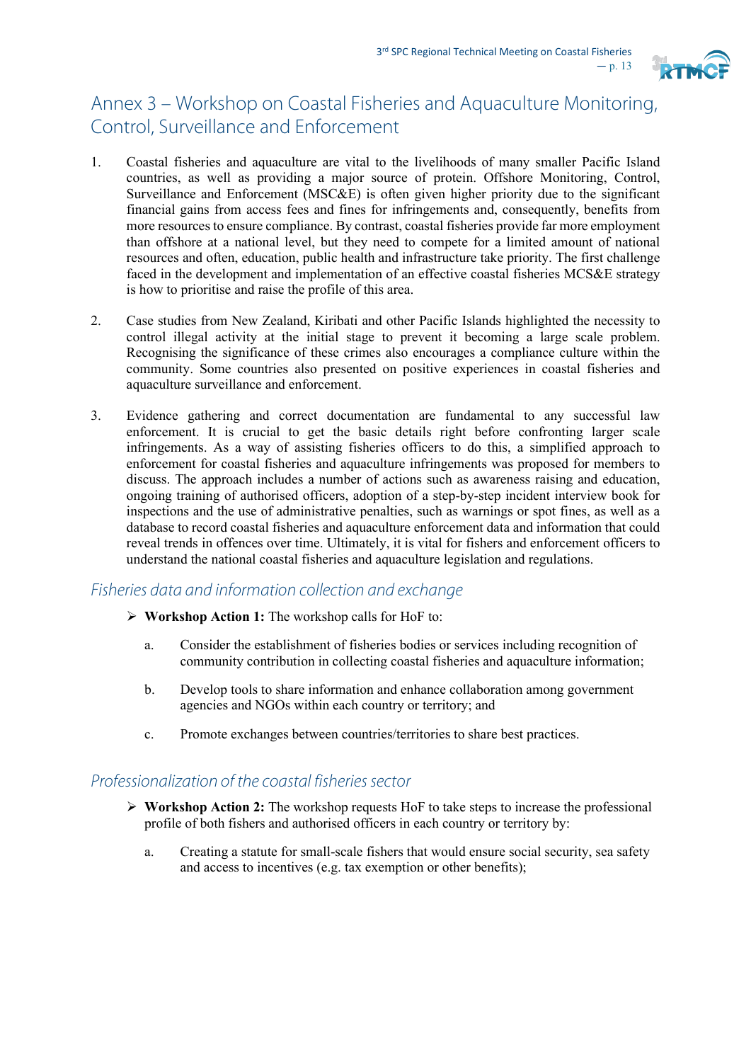

## Annex 3 – Workshop on Coastal Fisheries and Aquaculture Monitoring, Control, Surveillance and Enforcement

- 1. Coastal fisheries and aquaculture are vital to the livelihoods of many smaller Pacific Island countries, as well as providing a major source of protein. Offshore Monitoring, Control, Surveillance and Enforcement (MSC&E) is often given higher priority due to the significant financial gains from access fees and fines for infringements and, consequently, benefits from more resources to ensure compliance. By contrast, coastal fisheries provide far more employment than offshore at a national level, but they need to compete for a limited amount of national resources and often, education, public health and infrastructure take priority. The first challenge faced in the development and implementation of an effective coastal fisheries MCS&E strategy is how to prioritise and raise the profile of this area.
- 2. Case studies from New Zealand, Kiribati and other Pacific Islands highlighted the necessity to control illegal activity at the initial stage to prevent it becoming a large scale problem. Recognising the significance of these crimes also encourages a compliance culture within the community. Some countries also presented on positive experiences in coastal fisheries and aquaculture surveillance and enforcement.
- 3. Evidence gathering and correct documentation are fundamental to any successful law enforcement. It is crucial to get the basic details right before confronting larger scale infringements. As a way of assisting fisheries officers to do this, a simplified approach to enforcement for coastal fisheries and aquaculture infringements was proposed for members to discuss. The approach includes a number of actions such as awareness raising and education, ongoing training of authorised officers, adoption of a step-by-step incident interview book for inspections and the use of administrative penalties, such as warnings or spot fines, as well as a database to record coastal fisheries and aquaculture enforcement data and information that could reveal trends in offences over time. Ultimately, it is vital for fishers and enforcement officers to understand the national coastal fisheries and aquaculture legislation and regulations.

### *Fisheries data and information collection and exchange*

- **Workshop Action 1:** The workshop calls for HoF to:
	- a. Consider the establishment of fisheries bodies or services including recognition of community contribution in collecting coastal fisheries and aquaculture information;
	- b. Develop tools to share information and enhance collaboration among government agencies and NGOs within each country or territory; and
	- c. Promote exchanges between countries/territories to share best practices.

### *Professionalization of the coastal fisheries sector*

- **Workshop Action 2:** The workshop requests HoF to take steps to increase the professional profile of both fishers and authorised officers in each country or territory by:
	- a. Creating a statute for small-scale fishers that would ensure social security, sea safety and access to incentives (e.g. tax exemption or other benefits);